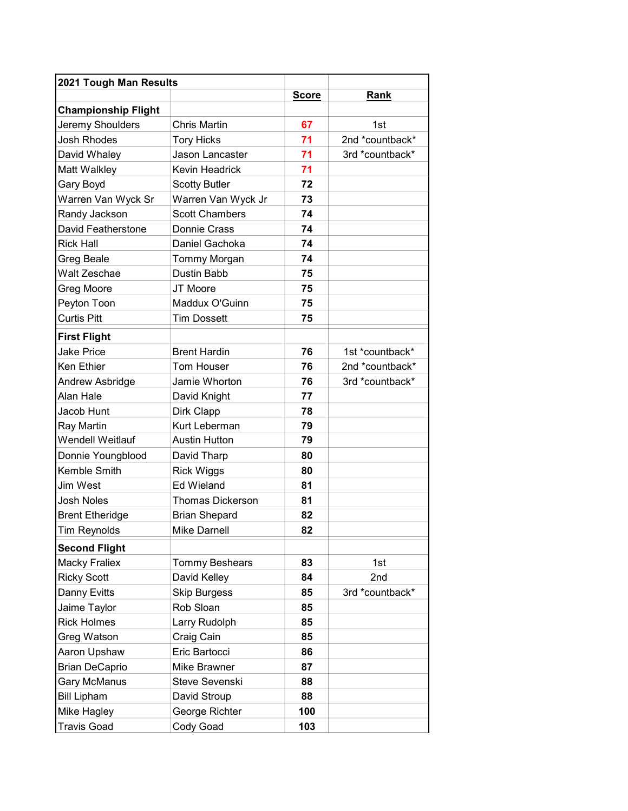| 2021 Tough Man Results     |                         |              |                 |
|----------------------------|-------------------------|--------------|-----------------|
|                            |                         | <b>Score</b> | <b>Rank</b>     |
| <b>Championship Flight</b> |                         |              |                 |
| Jeremy Shoulders           | <b>Chris Martin</b>     | 67           | 1st             |
| <b>Josh Rhodes</b>         | <b>Tory Hicks</b>       | 71           | 2nd *countback* |
| David Whaley               | Jason Lancaster         | 71           | 3rd *countback* |
| Matt Walkley               | Kevin Headrick          | 71           |                 |
| Gary Boyd                  | <b>Scotty Butler</b>    | 72           |                 |
| Warren Van Wyck Sr         | Warren Van Wyck Jr      | 73           |                 |
| Randy Jackson              | <b>Scott Chambers</b>   | 74           |                 |
| David Featherstone         | Donnie Crass            | 74           |                 |
| <b>Rick Hall</b>           | Daniel Gachoka          | 74           |                 |
| Greg Beale                 | Tommy Morgan            | 74           |                 |
| Walt Zeschae               | Dustin Babb             | 75           |                 |
| Greg Moore                 | JT Moore                | 75           |                 |
| Peyton Toon                | Maddux O'Guinn          | 75           |                 |
| <b>Curtis Pitt</b>         | <b>Tim Dossett</b>      | 75           |                 |
| <b>First Flight</b>        |                         |              |                 |
| <b>Jake Price</b>          | <b>Brent Hardin</b>     | 76           | 1st *countback* |
| Ken Ethier                 | Tom Houser              | 76           | 2nd *countback* |
| Andrew Asbridge            | Jamie Whorton           | 76           | 3rd *countback* |
| Alan Hale                  | David Knight            | 77           |                 |
| Jacob Hunt                 | Dirk Clapp              | 78           |                 |
| Ray Martin                 | Kurt Leberman           | 79           |                 |
| <b>Wendell Weitlauf</b>    | <b>Austin Hutton</b>    | 79           |                 |
| Donnie Youngblood          | David Tharp             | 80           |                 |
| Kemble Smith               | <b>Rick Wiggs</b>       | 80           |                 |
| Jim West                   | <b>Ed Wieland</b>       | 81           |                 |
| <b>Josh Noles</b>          | <b>Thomas Dickerson</b> | 81           |                 |
| <b>Brent Etheridge</b>     | <b>Brian Shepard</b>    | 82           |                 |
| <b>Tim Reynolds</b>        | Mike Darnell            | 82           |                 |
| <b>Second Flight</b>       |                         |              |                 |
| <b>Macky Fraliex</b>       | <b>Tommy Beshears</b>   | 83           | 1st             |
| <b>Ricky Scott</b>         | David Kelley            | 84           | 2nd             |
| Danny Evitts               | <b>Skip Burgess</b>     | 85           | 3rd *countback* |
| Jaime Taylor               | Rob Sloan               | 85           |                 |
| <b>Rick Holmes</b>         | Larry Rudolph           | 85           |                 |
| Greg Watson                | Craig Cain              | 85           |                 |
| Aaron Upshaw               | Eric Bartocci           | 86           |                 |
| <b>Brian DeCaprio</b>      | Mike Brawner            | 87           |                 |
| <b>Gary McManus</b>        | Steve Sevenski          | 88           |                 |
| <b>Bill Lipham</b>         | David Stroup            | 88           |                 |
| Mike Hagley                | George Richter          | 100          |                 |
| <b>Travis Goad</b>         | Cody Goad               | 103          |                 |